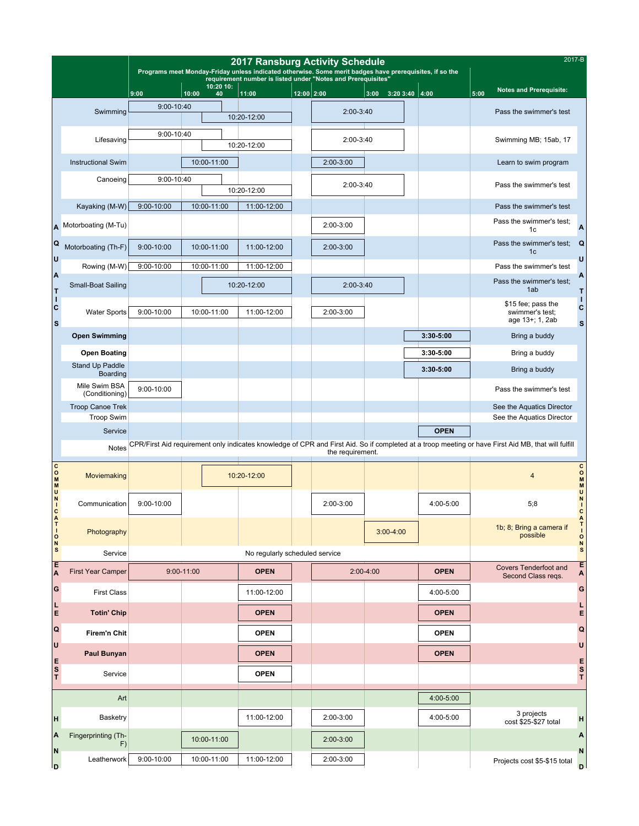|                                                    |                                              | 2017 Ransburg Activity Schedule<br>Programs meet Monday-Friday unless indicated otherwise. Some merit badges have prerequisites, if so the |            |             |                                                              |                                |                  |                                                                                                                                                     |                 |               |      | 2017-B                                                   |                                   |
|----------------------------------------------------|----------------------------------------------|--------------------------------------------------------------------------------------------------------------------------------------------|------------|-------------|--------------------------------------------------------------|--------------------------------|------------------|-----------------------------------------------------------------------------------------------------------------------------------------------------|-----------------|---------------|------|----------------------------------------------------------|-----------------------------------|
|                                                    |                                              | 10:20 10:                                                                                                                                  |            |             | requirement number is listed under "Notes and Prerequisites" |                                |                  |                                                                                                                                                     |                 |               |      | <b>Notes and Prerequisite:</b>                           |                                   |
|                                                    |                                              | 9:00<br>9:00-10:40                                                                                                                         | 10:00      | 40          | 11:00                                                        | $12:00$ 2:00                   |                  | 3:00                                                                                                                                                | $3:203:40$ 4:00 |               | 5:00 |                                                          |                                   |
|                                                    | Swimming                                     |                                                                                                                                            |            |             | 10:20-12:00                                                  |                                | 2:00-3:40        |                                                                                                                                                     |                 |               |      | Pass the swimmer's test                                  |                                   |
|                                                    | Lifesaving                                   | 9:00-10:40                                                                                                                                 |            |             | 10:20-12:00                                                  |                                | 2:00-3:40        |                                                                                                                                                     |                 |               |      | Swimming MB; 15ab, 17                                    |                                   |
|                                                    | <b>Instructional Swim</b>                    |                                                                                                                                            |            | 10:00-11:00 |                                                              |                                | 2:00-3:00        |                                                                                                                                                     |                 |               |      | Learn to swim program                                    |                                   |
|                                                    | Canoeing                                     | $9:00 - 10:40$                                                                                                                             |            |             | 10:20-12:00                                                  |                                | 2:00-3:40        |                                                                                                                                                     |                 |               |      | Pass the swimmer's test                                  |                                   |
|                                                    | Kayaking (M-W)                               | 9:00-10:00                                                                                                                                 |            | 10:00-11:00 | 11:00-12:00                                                  |                                |                  |                                                                                                                                                     |                 |               |      | Pass the swimmer's test                                  |                                   |
| A                                                  | Motorboating (M-Tu)                          |                                                                                                                                            |            |             |                                                              |                                | 2:00-3:00        |                                                                                                                                                     |                 |               |      | Pass the swimmer's test;<br>1c                           | A                                 |
| Q<br>U                                             | Motorboating (Th-F)                          | 9:00-10:00                                                                                                                                 |            | 10:00-11:00 | 11:00-12:00                                                  |                                | $2:00-3:00$      |                                                                                                                                                     |                 |               |      | Pass the swimmer's test;<br>1 <sub>c</sub>               | Q<br>U                            |
|                                                    | Rowing (M-W)                                 | 9:00-10:00                                                                                                                                 |            | 10:00-11:00 | 11:00-12:00                                                  |                                |                  |                                                                                                                                                     |                 |               |      | Pass the swimmer's test                                  |                                   |
| A                                                  | Small-Boat Sailing                           |                                                                                                                                            |            |             | 10:20-12:00                                                  |                                | 2:00-3:40        |                                                                                                                                                     |                 |               |      | Pass the swimmer's test;<br>1ab                          | A<br>Т                            |
| $\begin{bmatrix} 1 \\ 1 \\ C \end{bmatrix}$<br>ls. | <b>Water Sports</b>                          | 9:00-10:00                                                                                                                                 |            | 10:00-11:00 | 11:00-12:00                                                  |                                | 2:00-3:00        |                                                                                                                                                     |                 |               |      | \$15 fee; pass the<br>swimmer's test;<br>age 13+; 1, 2ab | П<br>C<br>$\mathbf{s}$            |
|                                                    | <b>Open Swimming</b>                         |                                                                                                                                            |            |             |                                                              |                                |                  |                                                                                                                                                     |                 | $3:30 - 5:00$ |      | Bring a buddy                                            |                                   |
|                                                    | <b>Open Boating</b>                          |                                                                                                                                            |            |             |                                                              |                                |                  |                                                                                                                                                     |                 | $3:30 - 5:00$ |      | Bring a buddy                                            |                                   |
|                                                    | Stand Up Paddle<br>Boarding                  |                                                                                                                                            |            |             |                                                              |                                |                  |                                                                                                                                                     |                 | 3:30-5:00     |      | Bring a buddy                                            |                                   |
|                                                    | Mile Swim BSA<br>(Conditioning)              | 9:00-10:00                                                                                                                                 |            |             |                                                              |                                |                  |                                                                                                                                                     |                 |               |      | Pass the swimmer's test                                  |                                   |
|                                                    | <b>Troop Canoe Trek</b><br><b>Troop Swim</b> |                                                                                                                                            |            |             |                                                              |                                |                  |                                                                                                                                                     |                 |               |      | See the Aquatics Director<br>See the Aquatics Director   |                                   |
|                                                    | Service                                      |                                                                                                                                            |            |             |                                                              |                                |                  |                                                                                                                                                     |                 | <b>OPEN</b>   |      |                                                          |                                   |
|                                                    | Notes                                        |                                                                                                                                            |            |             |                                                              |                                | the requirement. | CPR/First Aid requirement only indicates knowledge of CPR and First Aid. So if completed at a troop meeting or have First Aid MB, that will fulfill |                 |               |      |                                                          |                                   |
|                                                    | Moviemaking                                  |                                                                                                                                            |            |             | 10:20-12:00                                                  |                                |                  |                                                                                                                                                     |                 |               |      | 4                                                        | c                                 |
| $-2522$<br> c                                      | Communication                                | 9:00-10:00                                                                                                                                 |            |             |                                                              |                                | 2:00-3:00        |                                                                                                                                                     |                 | 4:00-5:00     |      | 5;8                                                      | $0 = 2C$                          |
| A<br>$\begin{array}{c c}\n\hline\n\end{array}$     | Photography                                  |                                                                                                                                            |            |             |                                                              |                                |                  |                                                                                                                                                     | $3:00 - 4:00$   |               |      | 1b; 8; Bring a camera if<br>possible                     | Α<br>T<br>$\rm _o^l$<br>${\sf N}$ |
|                                                    | Service                                      |                                                                                                                                            |            |             |                                                              | No regularly scheduled service |                  |                                                                                                                                                     |                 |               |      |                                                          | S                                 |
| E<br>A                                             | <b>First Year Camper</b>                     |                                                                                                                                            | 9:00-11:00 |             | <b>OPEN</b>                                                  |                                |                  | 2:00-4:00                                                                                                                                           |                 | <b>OPEN</b>   |      | Covers Tenderfoot and<br>Second Class regs.              | E<br>A                            |
| G                                                  | <b>First Class</b>                           |                                                                                                                                            |            |             | 11:00-12:00                                                  |                                |                  |                                                                                                                                                     |                 | 4:00-5:00     |      |                                                          | G                                 |
| L<br>E                                             | <b>Totin' Chip</b>                           |                                                                                                                                            |            |             | <b>OPEN</b>                                                  |                                |                  |                                                                                                                                                     |                 | <b>OPEN</b>   |      |                                                          | L<br>E                            |
| Q<br>U                                             | Firem'n Chit                                 |                                                                                                                                            |            |             | <b>OPEN</b>                                                  |                                |                  |                                                                                                                                                     |                 | <b>OPEN</b>   |      |                                                          | Q<br>U                            |
| E                                                  | Paul Bunyan                                  |                                                                                                                                            |            |             | <b>OPEN</b>                                                  |                                |                  |                                                                                                                                                     |                 | <b>OPEN</b>   |      |                                                          | E<br>S                            |
| $\frac{s}{t}$                                      | Service                                      |                                                                                                                                            |            |             | <b>OPEN</b>                                                  |                                |                  |                                                                                                                                                     |                 |               |      |                                                          | T                                 |
|                                                    | Art                                          |                                                                                                                                            |            |             |                                                              |                                |                  |                                                                                                                                                     |                 | 4:00-5:00     |      |                                                          |                                   |
| H                                                  | Basketry                                     |                                                                                                                                            |            |             | 11:00-12:00                                                  |                                | 2:00-3:00        |                                                                                                                                                     |                 | 4:00-5:00     |      | 3 projects<br>cost \$25-\$27 total                       | н                                 |
| $\Lambda$<br>N                                     | Fingerprinting (Th-<br>F)                    |                                                                                                                                            |            | 10:00-11:00 |                                                              |                                | 2:00-3:00        |                                                                                                                                                     |                 |               |      |                                                          | A                                 |
| lp.                                                | Leatherwork                                  | 9:00-10:00                                                                                                                                 |            | 10:00-11:00 | 11:00-12:00                                                  |                                | 2:00-3:00        |                                                                                                                                                     |                 |               |      | Projects cost \$5-\$15 total                             | N<br>D.                           |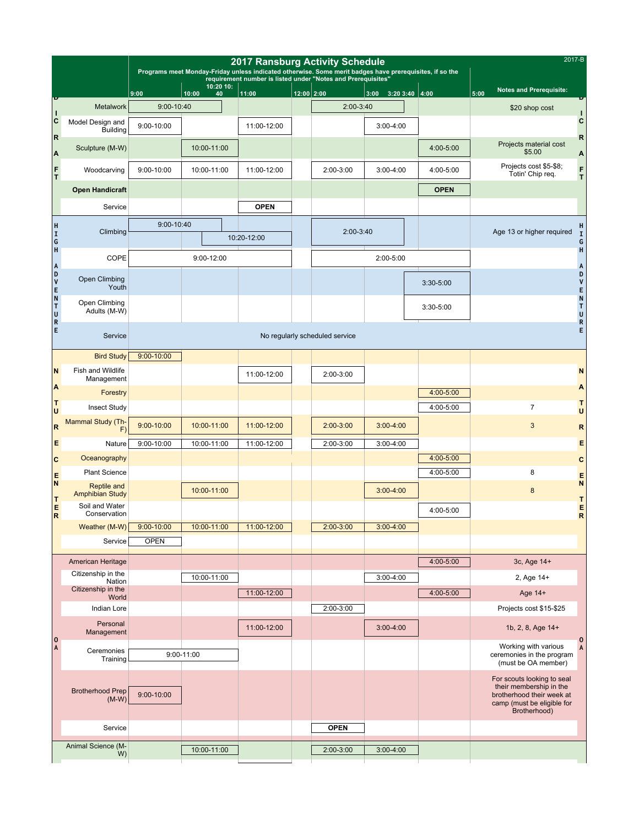|                              |                                              |                | Programs meet Monday-Friday unless indicated otherwise. Some merit badges have prerequisites, if so the | <b>2017 Ransburg Activity Schedule</b>                       |              |                                | 2017-B                  |             |                                                                                                                                  |
|------------------------------|----------------------------------------------|----------------|---------------------------------------------------------------------------------------------------------|--------------------------------------------------------------|--------------|--------------------------------|-------------------------|-------------|----------------------------------------------------------------------------------------------------------------------------------|
|                              |                                              |                | 10:20 10:                                                                                               | requirement number is listed under "Notes and Prerequisites" |              |                                |                         |             |                                                                                                                                  |
|                              |                                              | 9:00           | 10:00<br>40                                                                                             | 11:00                                                        | $12:00$ 2:00 |                                | 3:00<br>$3:203:40$ 4:00 |             | <b>Notes and Prerequisite:</b><br>5:00                                                                                           |
| П                            | Metalwork                                    | 9:00-10:40     |                                                                                                         |                                                              |              | 2:00-3:40                      |                         |             | \$20 shop cost                                                                                                                   |
| $\vert c$                    | Model Design and<br><b>Building</b>          | 9:00-10:00     |                                                                                                         | 11:00-12:00                                                  |              |                                | $3:00 - 4:00$           |             | C                                                                                                                                |
| $\overline{\mathbf{R}}$<br>A | Sculpture (M-W)                              |                | 10:00-11:00                                                                                             |                                                              |              |                                |                         | 4:00-5:00   | R<br>Projects material cost<br>\$5.00<br>A                                                                                       |
| $\frac{F}{T}$                | Woodcarving                                  | 9:00-10:00     | 10:00-11:00                                                                                             | 11:00-12:00                                                  |              | 2:00-3:00                      | $3:00 - 4:00$           | 4:00-5:00   | Projects cost \$5-\$8;<br>F<br>Totin' Chip req.<br>T.                                                                            |
|                              | <b>Open Handicraft</b>                       |                |                                                                                                         |                                                              |              |                                |                         | <b>OPEN</b> |                                                                                                                                  |
|                              | Service                                      |                |                                                                                                         | <b>OPEN</b>                                                  |              |                                |                         |             |                                                                                                                                  |
|                              |                                              | 9:00-10:40     |                                                                                                         |                                                              |              | 2:00-3:40                      |                         |             | н                                                                                                                                |
| H<br>I<br>G<br>H<br>G<br>H   | Climbing                                     |                |                                                                                                         | 10:20-12:00                                                  |              |                                |                         |             | Age 13 or higher required<br>$\mathbf I$<br>G                                                                                    |
|                              | COPE                                         |                |                                                                                                         |                                                              |              | 2:00-5:00                      |                         | $\sf H$     |                                                                                                                                  |
| A<br>D<br>V<br>E             | Open Climbing                                |                |                                                                                                         |                                                              |              |                                |                         |             | A<br>D                                                                                                                           |
|                              | Youth                                        |                |                                                                                                         |                                                              |              |                                |                         | 3:30-5:00   | V                                                                                                                                |
| N<br>T<br>U<br>R<br>E        | Open Climbing<br>Adults (M-W)                |                |                                                                                                         |                                                              |              |                                |                         | $3:30-5:00$ | E<br>N<br>T<br>U                                                                                                                 |
|                              | Service                                      |                |                                                                                                         |                                                              |              | No regularly scheduled service |                         |             | ${\sf R}$<br>E                                                                                                                   |
|                              | <b>Bird Study</b>                            | $9:00 - 10:00$ |                                                                                                         |                                                              |              |                                |                         |             |                                                                                                                                  |
| N                            | Fish and Wildlife<br>Management              |                |                                                                                                         | 11:00-12:00                                                  |              | 2:00-3:00                      |                         |             | N                                                                                                                                |
| A                            | Forestry                                     |                |                                                                                                         |                                                              |              |                                |                         | 4:00-5:00   | A                                                                                                                                |
| T<br>lu.                     | <b>Insect Study</b>                          |                |                                                                                                         |                                                              |              |                                |                         | 4:00-5:00   | т<br>$\overline{7}$<br>U                                                                                                         |
| R                            | Mammal Study (Th-<br>F)                      | $9:00 - 10:00$ | 10:00-11:00                                                                                             | 11:00-12:00                                                  |              | 2:00-3:00                      | $3:00 - 4:00$           |             | 3<br>$\mathsf{R}$                                                                                                                |
| E                            | Nature                                       | 9:00-10:00     | 10:00-11:00                                                                                             | 11:00-12:00                                                  |              | 2:00-3:00                      | $3:00 - 4:00$           |             | E                                                                                                                                |
| $\mathbf c$                  | Oceanography                                 |                |                                                                                                         |                                                              |              |                                |                         | 4:00-5:00   | C                                                                                                                                |
| E<br>N                       | <b>Plant Science</b>                         |                |                                                                                                         |                                                              |              |                                |                         | 4:00-5:00   | 8<br>Е<br>$\mathsf{N}$                                                                                                           |
| T                            | <b>Reptile and</b><br><b>Amphibian Study</b> |                | 10:00-11:00                                                                                             |                                                              |              |                                | $3:00 - 4:00$           |             | $\boldsymbol{8}$<br>т                                                                                                            |
| E<br>R                       | Soil and Water<br>Conservation               |                |                                                                                                         |                                                              |              |                                |                         | 4:00-5:00   | Ε<br>$\mathsf{R}$                                                                                                                |
|                              | Weather (M-W)                                | $9:00 - 10:00$ | 10:00-11:00                                                                                             | 11:00-12:00                                                  |              | $2:00 - 3:00$                  | $3:00 - 4:00$           |             |                                                                                                                                  |
|                              | Service                                      | <b>OPEN</b>    |                                                                                                         |                                                              |              |                                |                         |             |                                                                                                                                  |
|                              | American Heritage                            |                |                                                                                                         |                                                              |              |                                |                         | 4:00-5:00   | 3c, Age 14+                                                                                                                      |
|                              | Citizenship in the<br>Nation                 |                | 10:00-11:00                                                                                             |                                                              |              |                                | $3:00-4:00$             |             | 2, Age 14+                                                                                                                       |
|                              | Citizenship in the<br>World                  |                |                                                                                                         | 11:00-12:00                                                  |              |                                |                         | 4:00-5:00   | Age 14+                                                                                                                          |
|                              | Indian Lore                                  |                |                                                                                                         |                                                              |              | 2:00-3:00                      |                         |             | Projects cost \$15-\$25                                                                                                          |
|                              | Personal<br>Management                       |                |                                                                                                         | 11:00-12:00                                                  |              |                                | $3:00 - 4:00$           |             | 1b, 2, 8, Age 14+                                                                                                                |
| $ 0\rangle$<br>A             | Ceremonies<br>Training                       |                | 9:00-11:00                                                                                              |                                                              |              |                                |                         |             | $\mathbf 0$<br>Working with various<br>A<br>ceremonies in the program<br>(must be OA member)                                     |
|                              | <b>Brotherhood Prep</b><br>$(M-W)$           | 9:00-10:00     |                                                                                                         |                                                              |              |                                |                         |             | For scouts looking to seal<br>their membership in the<br>brotherhood their week at<br>camp (must be eligible for<br>Brotherhood) |
|                              | Service                                      |                |                                                                                                         |                                                              |              | <b>OPEN</b>                    |                         |             |                                                                                                                                  |
|                              | Animal Science (M-<br>W)                     |                | 10:00-11:00                                                                                             |                                                              |              | $2:00 - 3:00$                  | $3:00-4:00$             |             |                                                                                                                                  |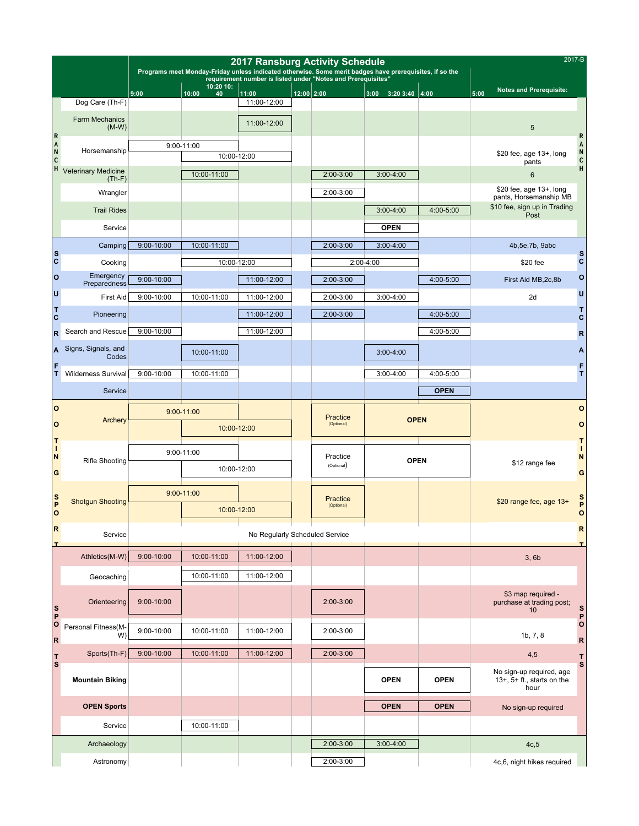|                                                        |                                        |                | <b>2017 Ransburg Activity Schedule</b> |                      |                                                                                                                                                                         | 2017-B                 |                                       |                             |             |                         |                                                                     |                         |                   |
|--------------------------------------------------------|----------------------------------------|----------------|----------------------------------------|----------------------|-------------------------------------------------------------------------------------------------------------------------------------------------------------------------|------------------------|---------------------------------------|-----------------------------|-------------|-------------------------|---------------------------------------------------------------------|-------------------------|-------------------|
|                                                        |                                        |                | 10:20 10:                              |                      | Programs meet Monday-Friday unless indicated otherwise. Some merit badges have prerequisites, if so the<br>requirement number is listed under "Notes and Prerequisites" |                        |                                       |                             |             |                         |                                                                     |                         |                   |
|                                                        | Dog Care (Th-F)                        | 9:00           | 10:00<br>40                            | 11:00<br>11:00-12:00 | $12:00$ 2:00                                                                                                                                                            |                        |                                       | $3:00$ $3:20$ $3:40$ $4:00$ |             | 5:00                    | <b>Notes and Prerequisite:</b>                                      |                         |                   |
|                                                        | <b>Farm Mechanics</b><br>$(M-W)$       |                |                                        | 11:00-12:00          |                                                                                                                                                                         |                        |                                       |                             |             |                         | 5                                                                   |                         |                   |
| R<br>A<br>$\overline{\mathsf{N}}$<br>$\mathsf{c}$<br>H |                                        |                | 9:00-11:00                             |                      |                                                                                                                                                                         |                        |                                       |                             |             |                         |                                                                     | R<br>A                  |                   |
|                                                        | Horsemanship                           |                | 10:00-12:00                            |                      |                                                                                                                                                                         |                        |                                       |                             |             |                         | \$20 fee, age 13+, long<br>pants                                    | N<br>$\mathsf{c}$       |                   |
|                                                        | <b>Veterinary Medicine</b><br>$(Th-F)$ |                | 10:00-11:00                            |                      |                                                                                                                                                                         | 2:00-3:00              |                                       | $3:00 - 4:00$               |             |                         | 6                                                                   | H                       |                   |
|                                                        | Wrangler                               |                |                                        |                      |                                                                                                                                                                         | 2:00-3:00              |                                       |                             |             | \$20 fee, age 13+, long |                                                                     |                         |                   |
|                                                        | <b>Trail Rides</b>                     |                |                                        |                      |                                                                                                                                                                         |                        |                                       | $3:00 - 4:00$               | 4:00-5:00   |                         | pants, Horsemanship MB<br>\$10 fee, sign up in Trading<br>Post      |                         |                   |
|                                                        | Service                                |                |                                        |                      |                                                                                                                                                                         |                        |                                       | <b>OPEN</b>                 |             |                         |                                                                     |                         |                   |
|                                                        | Camping                                | $9:00 - 10:00$ | 10:00-11:00                            |                      |                                                                                                                                                                         | 2:00-3:00              |                                       | $3:00 - 4:00$               |             |                         | 4b, 5e, 7b, 9abc                                                    |                         |                   |
| $\frac{s}{c}$                                          | Cooking                                |                | 10:00-12:00                            |                      |                                                                                                                                                                         |                        | $2:00 - 4:00$                         |                             |             |                         | \$20 fee                                                            | s<br>C                  |                   |
| O                                                      | Emergency<br>Preparedness              | $9:00 - 10:00$ |                                        | 11:00-12:00          |                                                                                                                                                                         | 2:00-3:00              |                                       |                             | 4:00-5:00   |                         | First Aid MB, 2c, 8b                                                | O                       |                   |
| IJ                                                     | <b>First Aid</b>                       | 9:00-10:00     | 10:00-11:00                            | 11:00-12:00          |                                                                                                                                                                         | 2:00-3:00              |                                       | $3:00 - 4:00$               |             |                         | 2d                                                                  | U                       |                   |
| τ<br>C                                                 | Pioneering                             |                |                                        | 11:00-12:00          |                                                                                                                                                                         | 2:00-3:00              |                                       |                             | 4:00-5:00   |                         |                                                                     | т<br>C                  |                   |
| $\overline{\mathsf{R}}$                                | Search and Rescue                      | 9:00-10:00     |                                        | 11:00-12:00          |                                                                                                                                                                         |                        |                                       |                             | 4:00-5:00   |                         |                                                                     | $\mathbf R$             |                   |
| A                                                      | Signs, Signals, and<br>Codes           |                | 10:00-11:00                            |                      |                                                                                                                                                                         |                        |                                       | $3:00 - 4:00$               |             |                         |                                                                     | Α                       |                   |
| F<br>T                                                 | <b>Wilderness Survival</b>             | 9:00-10:00     | 10:00-11:00                            |                      |                                                                                                                                                                         |                        |                                       | $3:00-4:00$                 | 4:00-5:00   |                         |                                                                     | F<br>T.                 |                   |
|                                                        | Service                                |                |                                        |                      |                                                                                                                                                                         |                        |                                       |                             | <b>OPEN</b> |                         |                                                                     |                         |                   |
| $\overline{O}$                                         |                                        |                | $9:00 - 11:00$                         |                      |                                                                                                                                                                         |                        | Practice<br><b>OPEN</b><br>(Optional) |                             |             |                         |                                                                     | $\circ$                 |                   |
| O                                                      | Archery                                |                | 10:00-12:00                            |                      |                                                                                                                                                                         |                        |                                       |                             |             |                         |                                                                     | o                       |                   |
| π<br>п                                                 |                                        |                | 9:00-11:00                             |                      |                                                                                                                                                                         |                        | Practice<br><b>OPEN</b><br>(Optional) |                             |             | \$12 range fee          |                                                                     | Τ<br>Т                  |                   |
| N<br>G                                                 | <b>Rifle Shooting</b>                  |                | 10:00-12:00                            |                      |                                                                                                                                                                         |                        |                                       |                             |             |                         |                                                                     | N<br>G                  |                   |
|                                                        |                                        |                | $9:00 - 11:00$                         |                      |                                                                                                                                                                         |                        |                                       |                             |             |                         |                                                                     |                         |                   |
| $\frac{S}{P}$<br>$\overline{O}$                        | <b>Shotqun Shooting</b>                |                | 10:00-12:00                            |                      |                                                                                                                                                                         | Practice<br>(Optional) |                                       |                             |             | \$20 range fee, age 13+ |                                                                     | S<br>P<br>O             |                   |
| R<br>I                                                 | Service                                |                |                                        |                      | No Regularly Scheduled Service                                                                                                                                          |                        |                                       |                             |             |                         |                                                                     |                         | $\mathsf R$<br>I. |
|                                                        | Athletics(M-W)                         | $9:00 - 10:00$ | 10:00-11:00                            | 11:00-12:00          |                                                                                                                                                                         |                        |                                       |                             |             |                         | 3,6b                                                                |                         |                   |
|                                                        | Geocaching                             |                | 10:00-11:00                            | 11:00-12:00          |                                                                                                                                                                         |                        |                                       |                             |             |                         |                                                                     |                         |                   |
| S<br>P                                                 | Orienteering                           | $9:00 - 10:00$ |                                        |                      |                                                                                                                                                                         | 2:00-3:00              |                                       |                             |             |                         | \$3 map required -<br>purchase at trading post;<br>10               | S<br>P                  |                   |
| $ 0\rangle$<br>$\overline{\mathsf{R}}$                 | Personal Fitness(M-<br>W)              | $9:00 - 10:00$ | 10:00-11:00                            | 11:00-12:00          |                                                                                                                                                                         | 2:00-3:00              |                                       |                             |             |                         | 1b, 7, 8                                                            | $\circ$<br>$\mathsf{R}$ |                   |
| T                                                      | Sports(Th-F)                           | $9:00 - 10:00$ | 10:00-11:00                            | 11:00-12:00          |                                                                                                                                                                         | 2:00-3:00              |                                       |                             |             |                         | 4,5                                                                 | T                       |                   |
| S                                                      | <b>Mountain Biking</b>                 |                |                                        |                      |                                                                                                                                                                         |                        |                                       | <b>OPEN</b>                 | <b>OPEN</b> |                         | No sign-up required, age<br>$13+$ , $5+$ ft., starts on the<br>hour | S                       |                   |
|                                                        | <b>OPEN Sports</b>                     |                |                                        |                      |                                                                                                                                                                         |                        |                                       | <b>OPEN</b>                 | <b>OPEN</b> |                         | No sign-up required                                                 |                         |                   |
|                                                        | Service                                |                | 10:00-11:00                            |                      |                                                                                                                                                                         |                        |                                       |                             |             |                         |                                                                     |                         |                   |
|                                                        | Archaeology                            |                |                                        |                      |                                                                                                                                                                         | 2:00-3:00              |                                       | $3:00-4:00$                 |             |                         | 4c, 5                                                               |                         |                   |
|                                                        | Astronomy                              |                |                                        |                      |                                                                                                                                                                         | 2:00-3:00              |                                       |                             |             |                         | 4c,6, night hikes required                                          |                         |                   |